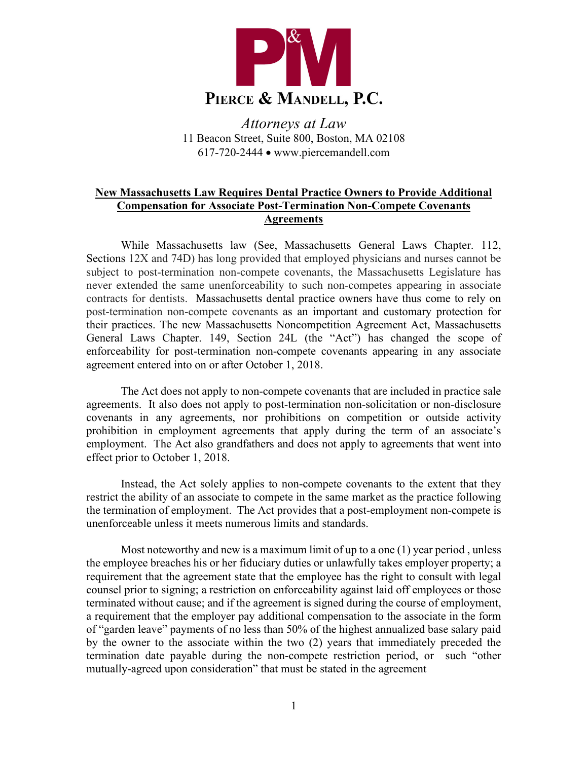

*Attorneys at Law* 11 Beacon Street, Suite 800, Boston, MA 02108 617-720-2444 • www.piercemandell.com

## **New Massachusetts Law Requires Dental Practice Owners to Provide Additional Compensation for Associate Post-Termination Non-Compete Covenants Agreements**

While Massachusetts law (See, Massachusetts General Laws Chapter. 112, Sections 12X and 74D) has long provided that employed physicians and nurses cannot be subject to post-termination non-compete covenants, the Massachusetts Legislature has never extended the same unenforceability to such non-competes appearing in associate contracts for dentists. Massachusetts dental practice owners have thus come to rely on post-termination non-compete covenants as an important and customary protection for their practices. The new Massachusetts Noncompetition Agreement Act, Massachusetts General Laws Chapter. 149, Section 24L (the "Act") has changed the scope of enforceability for post-termination non-compete covenants appearing in any associate agreement entered into on or after October 1, 2018.

The Act does not apply to non-compete covenants that are included in practice sale agreements. It also does not apply to post-termination non-solicitation or non-disclosure covenants in any agreements, nor prohibitions on competition or outside activity prohibition in employment agreements that apply during the term of an associate's employment. The Act also grandfathers and does not apply to agreements that went into effect prior to October 1, 2018.

Instead, the Act solely applies to non-compete covenants to the extent that they restrict the ability of an associate to compete in the same market as the practice following the termination of employment. The Act provides that a post-employment non-compete is unenforceable unless it meets numerous limits and standards.

Most noteworthy and new is a maximum limit of up to a one (1) year period , unless the employee breaches his or her fiduciary duties or unlawfully takes employer property; a requirement that the agreement state that the employee has the right to consult with legal counsel prior to signing; a restriction on enforceability against laid off employees or those terminated without cause; and if the agreement is signed during the course of employment, a requirement that the employer pay additional compensation to the associate in the form of "garden leave" payments of no less than 50% of the highest annualized base salary paid by the owner to the associate within the two (2) years that immediately preceded the termination date payable during the non-compete restriction period, or such "other mutually-agreed upon consideration" that must be stated in the agreement